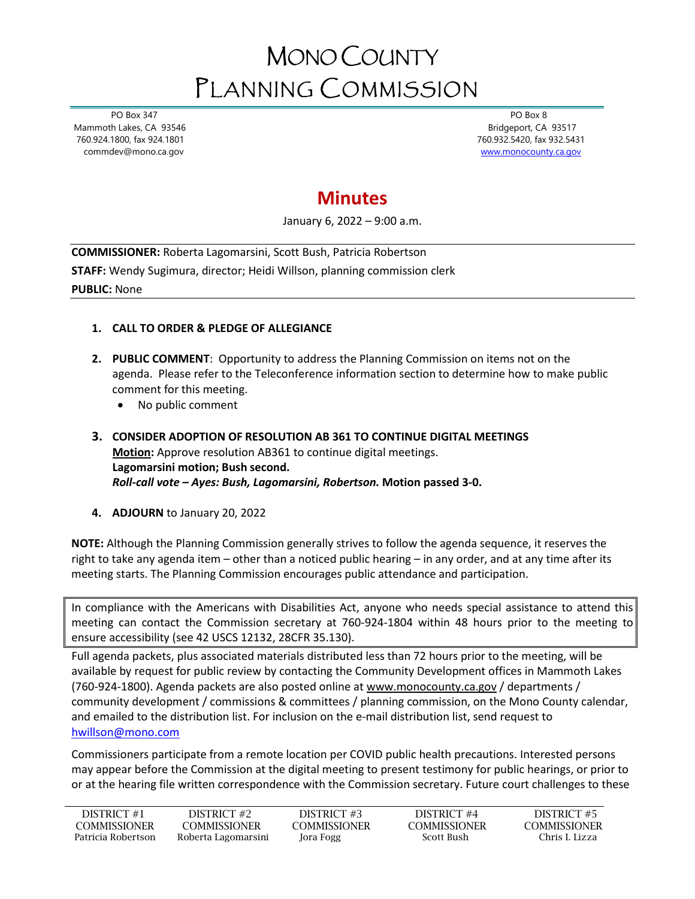## MONO COUNTY PLANNING COMMISSION

 PO Box 347 Mammoth Lakes, CA 93546 760.924.1800, fax 924.1801 commdev@mono.ca.gov

 PO Box 8 Bridgeport, CA 93517 760.932.5420, fax 932.5431 [www.monocounty.ca.gov](http://www.monocounty.ca.gov/) 

## **Minutes**

January 6, 2022 – 9:00 a.m.

**COMMISSIONER:** Roberta Lagomarsini, Scott Bush, Patricia Robertson **STAFF:** Wendy Sugimura, director; Heidi Willson, planning commission clerk **PUBLIC:** None

## **1. CALL TO ORDER & PLEDGE OF ALLEGIANCE**

- **2. PUBLIC COMMENT**: Opportunity to address the Planning Commission on items not on the agenda. Please refer to the Teleconference information section to determine how to make public comment for this meeting.
	- No public comment
- **3. CONSIDER ADOPTION OF RESOLUTION AB 361 TO CONTINUE DIGITAL MEETINGS Motion:** Approve resolution AB361 to continue digital meetings. **Lagomarsini motion; Bush second.** *Roll-call vote – Ayes: Bush, Lagomarsini, Robertson.* **Motion passed 3-0.**
- **4. ADJOURN** to January 20, 2022

**NOTE:** Although the Planning Commission generally strives to follow the agenda sequence, it reserves the right to take any agenda item – other than a noticed public hearing – in any order, and at any time after its meeting starts. The Planning Commission encourages public attendance and participation.

In compliance with the Americans with Disabilities Act, anyone who needs special assistance to attend this meeting can contact the Commission secretary at 760-924-1804 within 48 hours prior to the meeting to ensure accessibility (see 42 USCS 12132, 28CFR 35.130).

Full agenda packets, plus associated materials distributed less than 72 hours prior to the meeting, will be available by request for public review by contacting the Community Development offices in Mammoth Lakes (760-924-1800). Agenda packets are also posted online at [www.monocounty.ca.gov](http://www.monocounty.ca.gov/) / departments / community development / commissions & committees / planning commission, on the Mono County calendar, and emailed to the distribution list. For inclusion on the e-mail distribution list, send request to [hwillson@mono.com](mailto:hwillson@mono.com)

Commissioners participate from a remote location per COVID public health precautions. Interested persons may appear before the Commission at the digital meeting to present testimony for public hearings, or prior to or at the hearing file written correspondence with the Commission secretary. Future court challenges to these

| DISTRICT #1        | DISTRICT #2         | DISTRICT #3  | DISTRICT #4         | DISTRICT #5   |
|--------------------|---------------------|--------------|---------------------|---------------|
| COMMISSIONER       | <b>COMMISSIONER</b> | COMMISSIONER | <b>COMMISSIONER</b> | COMMISSIONER  |
| Patricia Robertson | Roberta Lagomarsini | Jora Fogg    | Scott Bush-         | Chris L Lizza |